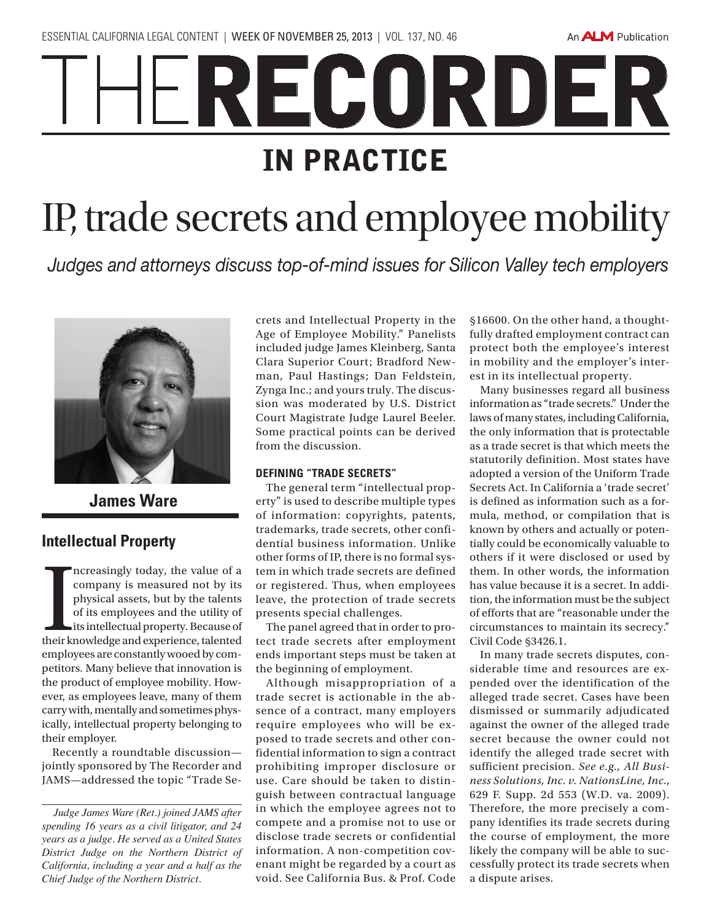An **ALM** Publication

# RECORDER IN PRACTICE IP, trade secrets and employee mobility

*Judges and attorneys discuss top-of-mind issues for Silicon Valley tech employers*



**James Ware**

## **Intellectual Property**

Increasingly today, the value of a<br>company is measured not by its<br>physical assets, but by the talents<br>of its employees and the utility of<br>its intellectual property. Because of<br>their knowledge and experience, talented ncreasingly today, the value of a company is measured not by its physical assets, but by the talents of its employees and the utility of its intellectual property. Because of employees are constantly wooed by competitors. Many believe that innovation is the product of employee mobility. However, as employees leave, many of them carry with, mentally and sometimes physically, intellectual property belonging to their employer.

Recently a roundtable discussion jointly sponsored by The Recorder and JAMS—addressed the topic "Trade Secrets and Intellectual Property in the Age of Employee Mobility." Panelists included judge James Kleinberg, Santa Clara Superior Court; Bradford Newman, Paul Hastings; Dan Feldstein, Zynga Inc.; and yours truly. The discussion was moderated by U.S. District Court Magistrate Judge Laurel Beeler. Some practical points can be derived from the discussion.

### **DEFINING "TRADE SECRETS"**

The general term "intellectual property" is used to describe multiple types of information: copyrights, patents, trademarks, trade secrets, other confidential business information. Unlike other forms of IP, there is no formal system in which trade secrets are defined or registered. Thus, when employees leave, the protection of trade secrets presents special challenges.

The panel agreed that in order to protect trade secrets after employment ends important steps must be taken at the beginning of employment.

Although misappropriation of a trade secret is actionable in the absence of a contract, many employers require employees who will be exposed to trade secrets and other confidential information to sign a contract prohibiting improper disclosure or use. Care should be taken to distinguish between contractual language in which the employee agrees not to compete and a promise not to use or disclose trade secrets or confidential information. A non-competition covenant might be regarded by a court as void. See California Bus. & Prof. Code §16600. On the other hand, a thoughtfully drafted employment contract can protect both the employee's interest in mobility and the employer's interest in its intellectual property.

Many businesses regard all business information as "trade secrets." Under the laws of many states, including California, the only information that is protectable as a trade secret is that which meets the statutorily definition. Most states have adopted a version of the Uniform Trade Secrets Act. In California a 'trade secret' is defined as information such as a formula, method, or compilation that is known by others and actually or potentially could be economically valuable to others if it were disclosed or used by them. In other words, the information has value because it is a secret. In addition, the information must be the subject of efforts that are "reasonable under the circumstances to maintain its secrecy." Civil Code §3426.1.

In many trade secrets disputes, considerable time and resources are expended over the identification of the alleged trade secret. Cases have been dismissed or summarily adjudicated against the owner of the alleged trade secret because the owner could not identify the alleged trade secret with sufficient precision. *See e.g., All Business Solutions, Inc. v. NationsLine, Inc.*, 629 F. Supp. 2d 553 (W.D. va. 2009). Therefore, the more precisely a company identifies its trade secrets during the course of employment, the more likely the company will be able to successfully protect its trade secrets when a dispute arises.

*Judge James Ware (Ret.) joined JAMS after spending 16 years as a civil litigator, and 24 years as a judge. He served as a United States District Judge on the Northern District of California, including a year and a half as the Chief Judge of the Northern District.*